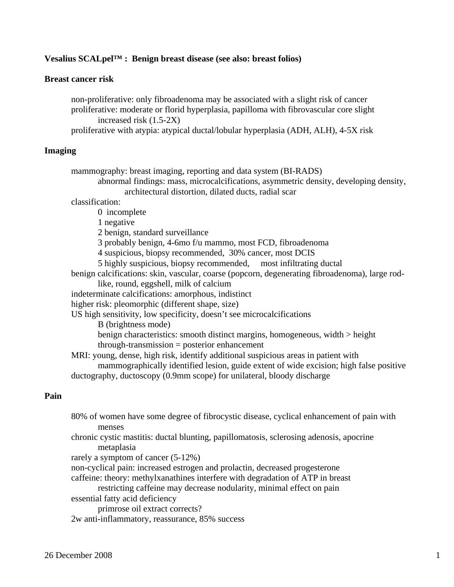## **Vesalius SCALpel™ : Benign breast disease (see also: breast folios)**

### **Breast cancer risk**

 non-proliferative: only fibroadenoma may be associated with a slight risk of cancer proliferative: moderate or florid hyperplasia, papilloma with fibrovascular core slight increased risk (1.5-2X)

proliferative with atypia: atypical ductal/lobular hyperplasia (ADH, ALH), 4-5X risk

### **Imaging**

 mammography: breast imaging, reporting and data system (BI-RADS) abnormal findings: mass, microcalcifications, asymmetric density, developing density, architectural distortion, dilated ducts, radial scar classification: 0 incomplete 1 negative 2 benign, standard surveillance 3 probably benign, 4-6mo f/u mammo, most FCD, fibroadenoma 4 suspicious, biopsy recommended, 30% cancer, most DCIS 5 highly suspicious, biopsy recommended, most infiltrating ductal benign calcifications: skin, vascular, coarse (popcorn, degenerating fibroadenoma), large rod like, round, eggshell, milk of calcium indeterminate calcifications: amorphous, indistinct higher risk: pleomorphic (different shape, size) US high sensitivity, low specificity, doesn't see microcalcifications B (brightness mode) benign characteristics: smooth distinct margins, homogeneous, width > height through-transmission = posterior enhancement MRI: young, dense, high risk, identify additional suspicious areas in patient with mammographically identified lesion, guide extent of wide excision; high false positive ductography, ductoscopy (0.9mm scope) for unilateral, bloody discharge

# **Pain**

- 80% of women have some degree of fibrocystic disease, cyclical enhancement of pain with menses chronic cystic mastitis: ductal blunting, papillomatosis, sclerosing adenosis, apocrine
- metaplasia rarely a symptom of cancer (5-12%)
- non-cyclical pain: increased estrogen and prolactin, decreased progesterone
- caffeine: theory: methylxanathines interfere with degradation of ATP in breast

restricting caffeine may decrease nodularity, minimal effect on pain

essential fatty acid deficiency

primrose oil extract corrects?

2w anti-inflammatory, reassurance, 85% success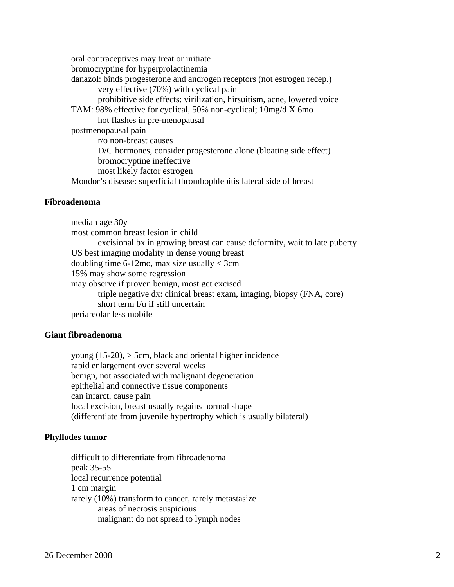oral contraceptives may treat or initiate bromocryptine for hyperprolactinemia danazol: binds progesterone and androgen receptors (not estrogen recep.) very effective (70%) with cyclical pain prohibitive side effects: virilization, hirsuitism, acne, lowered voice TAM: 98% effective for cyclical, 50% non-cyclical; 10mg/d X 6mo hot flashes in pre-menopausal postmenopausal pain r/o non-breast causes D/C hormones, consider progesterone alone (bloating side effect) bromocryptine ineffective most likely factor estrogen Mondor's disease: superficial thrombophlebitis lateral side of breast

### **Fibroadenoma**

 median age 30y most common breast lesion in child excisional bx in growing breast can cause deformity, wait to late puberty US best imaging modality in dense young breast doubling time 6-12mo, max size usually  $<$  3cm 15% may show some regression may observe if proven benign, most get excised triple negative dx: clinical breast exam, imaging, biopsy (FNA, core) short term f/u if still uncertain periareolar less mobile

### **Giant fibroadenoma**

young  $(15-20)$ ,  $>$  5cm, black and oriental higher incidence rapid enlargement over several weeks benign, not associated with malignant degeneration epithelial and connective tissue components can infarct, cause pain local excision, breast usually regains normal shape (differentiate from juvenile hypertrophy which is usually bilateral)

# **Phyllodes tumor**

 difficult to differentiate from fibroadenoma peak 35-55 local recurrence potential 1 cm margin rarely (10%) transform to cancer, rarely metastasize areas of necrosis suspicious malignant do not spread to lymph nodes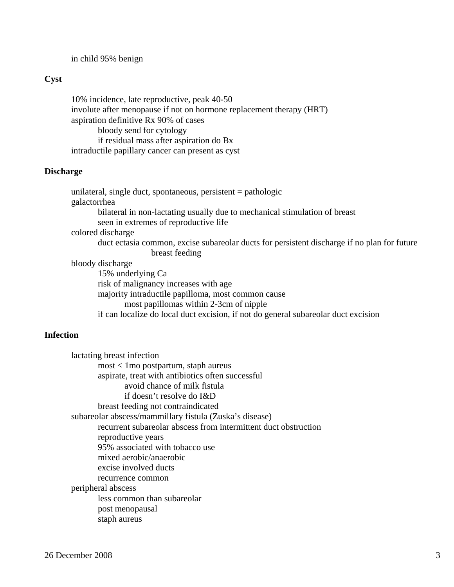in child 95% benign

# **Cyst**

 10% incidence, late reproductive, peak 40-50 involute after menopause if not on hormone replacement therapy (HRT) aspiration definitive Rx 90% of cases bloody send for cytology if residual mass after aspiration do Bx intraductile papillary cancer can present as cyst

### **Discharge**

 unilateral, single duct, spontaneous, persistent = pathologic galactorrhea bilateral in non-lactating usually due to mechanical stimulation of breast seen in extremes of reproductive life colored discharge duct ectasia common, excise subareolar ducts for persistent discharge if no plan for future breast feeding bloody discharge 15% underlying Ca risk of malignancy increases with age majority intraductile papilloma, most common cause most papillomas within 2-3cm of nipple

if can localize do local duct excision, if not do general subareolar duct excision

# **Infection**

 lactating breast infection most < 1mo postpartum, staph aureus aspirate, treat with antibiotics often successful avoid chance of milk fistula if doesn't resolve do I&D breast feeding not contraindicated subareolar abscess/mammillary fistula (Zuska's disease) recurrent subareolar abscess from intermittent duct obstruction reproductive years 95% associated with tobacco use mixed aerobic/anaerobic excise involved ducts recurrence common peripheral abscess less common than subareolar post menopausal staph aureus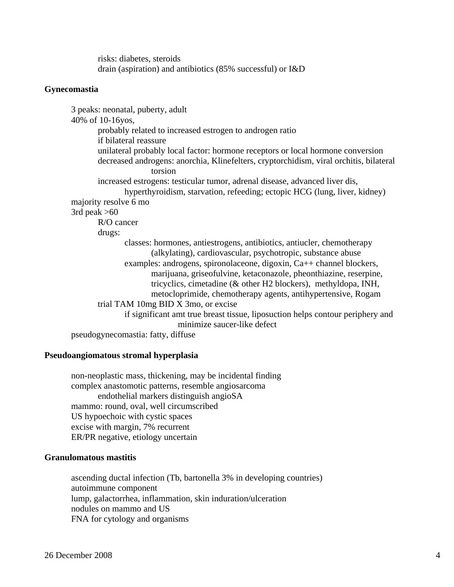risks: diabetes, steroids drain (aspiration) and antibiotics (85% successful) or I&D

### **Gynecomastia**

 3 peaks: neonatal, puberty, adult 40% of 10-16yos, probably related to increased estrogen to androgen ratio if bilateral reassure unilateral probably local factor: hormone receptors or local hormone conversion decreased androgens: anorchia, Klinefelters, cryptorchidism, viral orchitis, bilateral torsion increased estrogens: testicular tumor, adrenal disease, advanced liver dis, hyperthyroidism, starvation, refeeding; ectopic HCG (lung, liver, kidney) majority resolve 6 mo 3rd peak  $>60$  R/O cancer drugs: classes: hormones, antiestrogens, antibiotics, antiucler, chemotherapy (alkylating), cardiovascular, psychotropic, substance abuse examples: androgens, spironolaceone, digoxin, Ca++ channel blockers, marijuana, griseofulvine, ketaconazole, pheonthiazine, reserpine, tricyclics, cimetadine (& other H2 blockers), methyldopa, INH, metocloprimide, chemotherapy agents, antihypertensive, Rogam trial TAM 10mg BID X 3mo, or excise if significant amt true breast tissue, liposuction helps contour periphery and minimize saucer-like defect pseudogynecomastia: fatty, diffuse

### **Pseudoangiomatous stromal hyperplasia**

 non-neoplastic mass, thickening, may be incidental finding complex anastomotic patterns, resemble angiosarcoma endothelial markers distinguish angioSA mammo: round, oval, well circumscribed US hypoechoic with cystic spaces excise with margin, 7% recurrent ER/PR negative, etiology uncertain

## **Granulomatous mastitis**

 ascending ductal infection (Tb, bartonella 3% in developing countries) autoimmune component lump, galactorrhea, inflammation, skin induration/ulceration nodules on mammo and US FNA for cytology and organisms